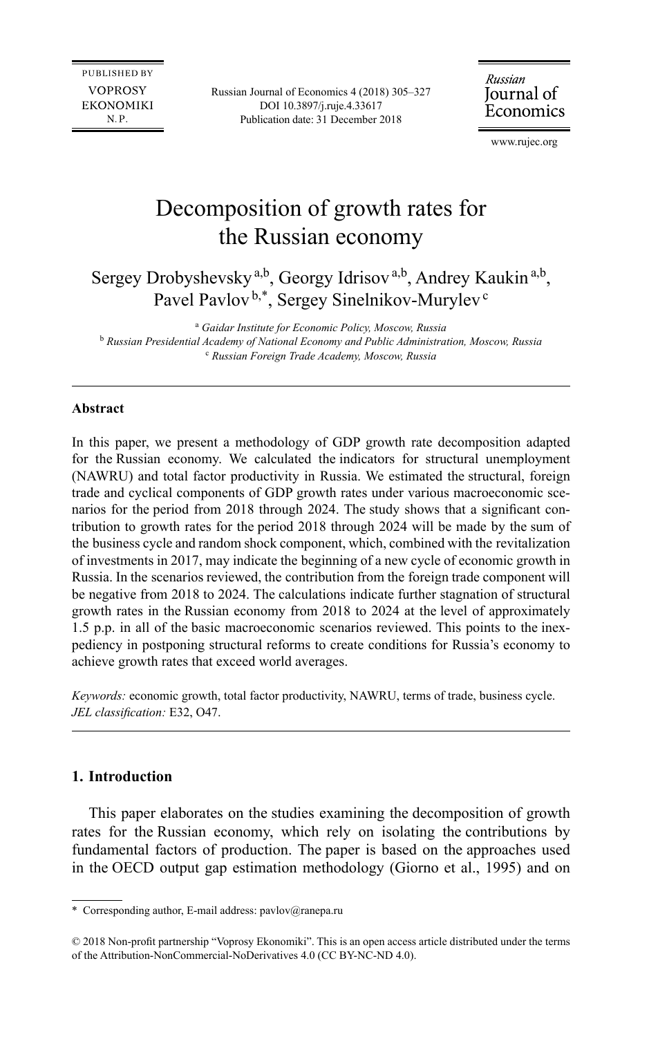Russian Journal of Economics 4 (2018) 305–327 DOI 10.3897/j.ruje.4.33617 Publication date: 31 December 2018

Russian Journal of Economics

[www.rujec.org](http://www.rujec.org)

# Decomposition of growth rates for the Russian economy

Sergey Drobyshevsky<sup>a,b</sup>, Georgy Idrisov<sup>a,b</sup>, Andrey Kaukin<sup>a,b</sup>, Pavel Pavlov<sup>b,\*</sup>, Sergey Sinelnikov-Murylev<sup>c</sup>

a  *Gaidar Institute for Economic Policy, Moscow, Russia* <sup>b</sup> *Russian Presidential Academy of National Economy and Public Administration, Moscow, Russia* c  *Russian Foreign Trade Academy, Moscow, Russia*

### **Abstract**

In this paper, we present a methodology of GDP growth rate decomposition adapted for the Russian economy. We calculated the indicators for structural unemployment (NAWRU) and total factor productivity in Russia. We estimated the structural, foreign trade and cyclical components of GDP growth rates under various macroeconomic scenarios for the period from 2018 through 2024. The study shows that a significant contribution to growth rates for the period 2018 through 2024 will be made by the sum of the business cycle and random shock component, which, combined with the revitalization of investments in 2017, may indicate the beginning of a new cycle of economic growth in Russia. In the scenarios reviewed, the contribution from the foreign trade component will be negative from 2018 to 2024. The calculations indicate further stagnation of structural growth rates in the Russian economy from 2018 to 2024 at the level of approximately 1.5 p.p. in all of the basic macroeconomic scenarios reviewed. This points to the inexpediency in postponing structural reforms to create conditions for Russia's economy to achieve growth rates that exceed world averages.

*Keywords:* economic growth, total factor productivity, NAWRU, terms of trade, business cycle. *JEL classification:* E32, O47.

# **1. Introduction**

This paper elaborates on the studies examining the decomposition of growth rates for the Russian economy, which rely on isolating the contributions by fundamental factors of production. The paper is based on the approaches used in the OECD output gap estimation methodology (Giorno et al., 1995) and on

<sup>\*</sup> Corresponding author, E-mail address: [pavlov@ranepa.ru](mailto:pavlov@ranepa.ru)

<sup>© 2018</sup> Non-profit partnership "Voprosy Ekonomiki". This is an open access article distributed under the terms of the Attribution-NonCommercial-NoDerivatives 4.0 (CC BY-NC-ND 4.0).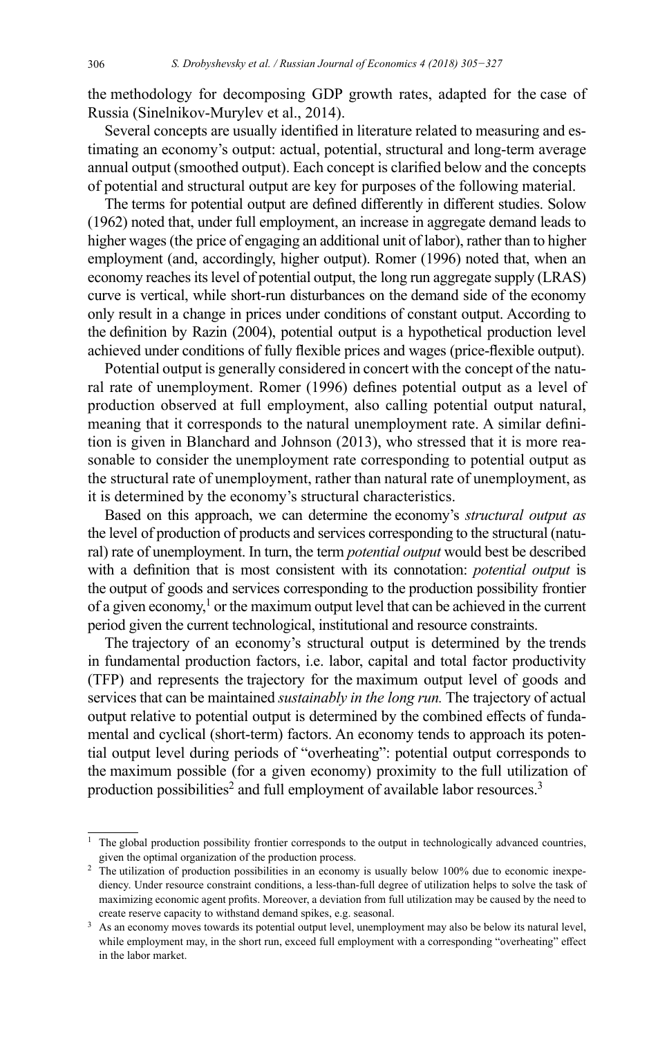the methodology for decomposing GDP growth rates, adapted for the case of Russia (Sinelnikov-Murylev et al., 2014).

Several concepts are usually identified in literature related to measuring and estimating an economy's output: actual, potential, structural and long-term average annual output (smoothed output). Each concept is clarified below and the concepts of potential and structural output are key for purposes of the following material.

The terms for potential output are defined differently in different studies. Solow (1962) noted that, under full employment, an increase in aggregate demand leads to higher wages (the price of engaging an additional unit of labor), rather than to higher employment (and, accordingly, higher output). Romer (1996) noted that, when an economy reaches its level of potential output, the long run aggregate supply (LRAS) curve is vertical, while short-run disturbances on the demand side of the economy only result in a change in prices under conditions of constant output. According to the definition by Razin (2004), potential output is a hypothetical production level achieved under conditions of fully flexible prices and wages (price-flexible output).

Potential output is generally considered in concert with the concept of the natural rate of unemployment. Romer (1996) defines potential output as a level of production observed at full employment, also calling potential output natural, meaning that it corresponds to the natural unemployment rate. A similar definition is given in Blanchard and Johnson (2013), who stressed that it is more reasonable to consider the unemployment rate corresponding to potential output as the structural rate of unemployment, rather than natural rate of unemployment, as it is determined by the economy's structural characteristics.

Based on this approach, we can determine the economy's *structural output as*  the level of production of products and services corresponding to the structural (natural) rate of unemployment. In turn, the term *potential output* would best be described with a definition that is most consistent with its connotation: *potential output* is the output of goods and services corresponding to the production possibility frontier of a given economy,<sup>1</sup> or the maximum output level that can be achieved in the current period given the current technological, institutional and resource constraints.

The trajectory of an economy's structural output is determined by the trends in fundamental production factors, i.e. labor, capital and total factor productivity (TFP) and represents the trajectory for the maximum output level of goods and services that can be maintained *sustainably in the long run.* The trajectory of actual output relative to potential output is determined by the combined effects of fundamental and cyclical (short-term) factors. An economy tends to approach its potential output level during periods of "overheating": potential output corresponds to the maximum possible (for a given economy) proximity to the full utilization of production possibilities<sup>2</sup> and full employment of available labor resources.<sup>3</sup>

<sup>&</sup>lt;sup>1</sup> The global production possibility frontier corresponds to the output in technologically advanced countries, given the optimal organization of the production process.

<sup>&</sup>lt;sup>2</sup> The utilization of production possibilities in an economy is usually below 100% due to economic inexpediency. Under resource constraint conditions, a less-than-full degree of utilization helps to solve the task of maximizing economic agent profits. Moreover, a deviation from full utilization may be caused by the need to create reserve capacity to withstand demand spikes, e.g. seasonal.

<sup>&</sup>lt;sup>3</sup> As an economy moves towards its potential output level, unemployment may also be below its natural level, while employment may, in the short run, exceed full employment with a corresponding "overheating" effect in the labor market.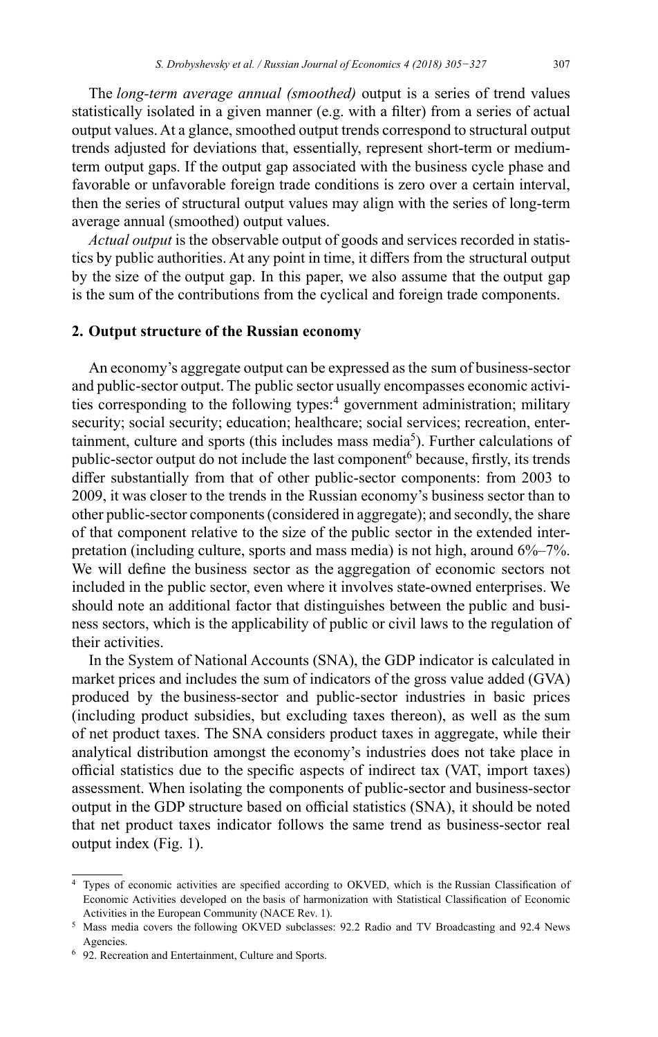The *long-term average annual (smoothed)* output is a series of trend values statistically isolated in a given manner (e.g. with a filter) from a series of actual output values. At a glance, smoothed output trends correspond to structural output trends adjusted for deviations that, essentially, represent short-term or mediumterm output gaps. If the output gap associated with the business cycle phase and favorable or unfavorable foreign trade conditions is zero over a certain interval, then the series of structural output values may align with the series of long-term average annual (smoothed) output values.

*Actual output* is the observable output of goods and services recorded in statistics by public authorities. At any point in time, it differs from the structural output by the size of the output gap. In this paper, we also assume that the output gap is the sum of the contributions from the cyclical and foreign trade components.

# **2. Output structure of the Russian economy**

An economy's aggregate output can be expressed as the sum of business-sector and public-sector output. The public sector usually encompasses economic activities corresponding to the following types:<sup>4</sup> government administration; military security; social security; education; healthcare; social services; recreation, entertainment, culture and sports (this includes mass media<sup>5</sup>). Further calculations of public-sector output do not include the last component<sup>6</sup> because, firstly, its trends differ substantially from that of other public-sector components: from 2003 to 2009, it was closer to the trends in the Russian economy's business sector than to other public-sector components (considered in aggregate); and secondly, the share of that component relative to the size of the public sector in the extended interpretation (including culture, sports and mass media) is not high, around 6%–7%. We will define the business sector as the aggregation of economic sectors not included in the public sector, even where it involves state-owned enterprises. We should note an additional factor that distinguishes between the public and business sectors, which is the applicability of public or civil laws to the regulation of their activities.

In the System of National Accounts (SNA), the GDP indicator is calculated in market prices and includes the sum of indicators of the gross value added (GVA) produced by the business-sector and public-sector industries in basic prices (including product subsidies, but excluding taxes thereon), as well as the sum of net product taxes. The SNA considers product taxes in aggregate, while their analytical distribution amongst the economy's industries does not take place in official statistics due to the specific aspects of indirect tax (VAT, import taxes) assessment. When isolating the components of public-sector and business-sector output in the GDP structure based on official statistics (SNA), it should be noted that net product taxes indicator follows the same trend as business-sector real output index (Fig. 1).

<sup>4</sup> Types of economic activities are specified according to OKVED, which is the Russian Classification of Economic Activities developed on the basis of harmonization with Statistical Classification of Economic Activities in the European Community (NACE Rev. 1).

<sup>5</sup> Mass media covers the following OKVED subclasses: 92.2 Radio and TV Broadcasting and 92.4 News Agencies.

<sup>6</sup> 92. Recreation and Entertainment, Culture and Sports.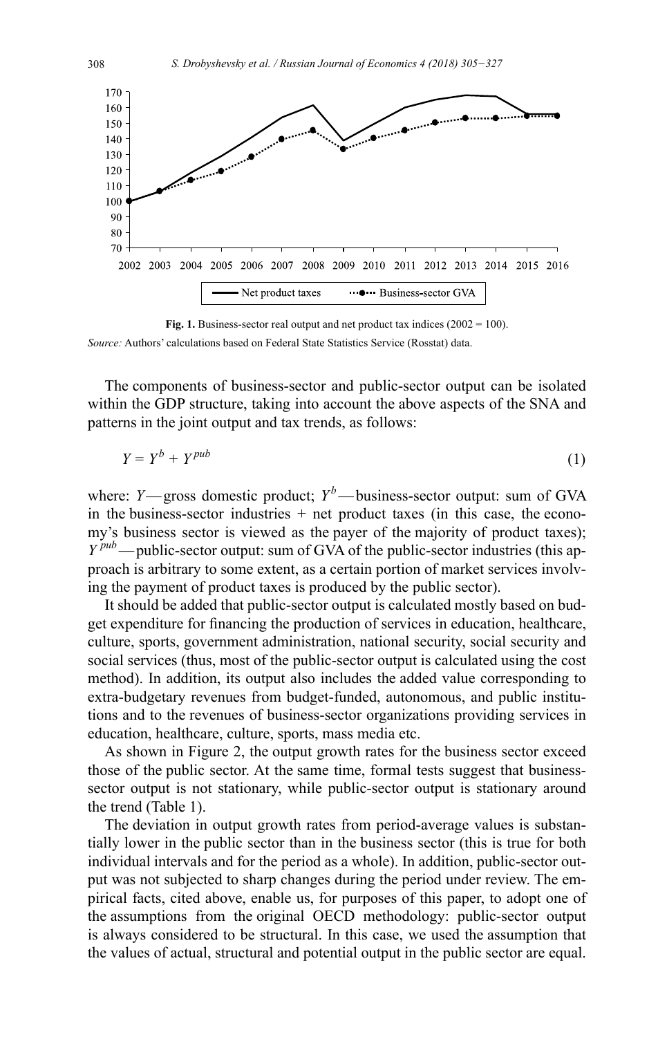

**Fig. 1.** Business-sector real output and net product tax indices (2002 = 100). *Source:* Authors' calculations based on Federal State Statistics Service (Rosstat) data.

The components of business-sector and public-sector output can be isolated within the GDP structure, taking into account the above aspects of the SNA and patterns in the joint output and tax trends, as follows:

$$
Y = Y^b + Y^{pub} \tag{1}
$$

where: *Y*—gross domestic product;  $Y^b$ —business-sector output: sum of GVA in the business-sector industries  $+$  net product taxes (in this case, the economy's business sector is viewed as the payer of the majority of product taxes); *Y pub*—public-sector output: sum of GVA of the public-sector industries (this approach is arbitrary to some extent, as a certain portion of market services involving the payment of product taxes is produced by the public sector).

It should be added that public-sector output is calculated mostly based on budget expenditure for financing the production of services in education, healthcare, culture, sports, government administration, national security, social security and social services (thus, most of the public-sector output is calculated using the cost method). In addition, its output also includes the added value corresponding to extra-budgetary revenues from budget-funded, autonomous, and public institutions and to the revenues of business-sector organizations providing services in education, healthcare, culture, sports, mass media etc.

As shown in Figure 2, the output growth rates for the business sector exceed those of the public sector. At the same time, formal tests suggest that businesssector output is not stationary, while public-sector output is stationary around the trend (Table 1).

The deviation in output growth rates from period-average values is substantially lower in the public sector than in the business sector (this is true for both individual intervals and for the period as a whole). In addition, public-sector output was not subjected to sharp changes during the period under review. The empirical facts, cited above, enable us, for purposes of this paper, to adopt one of the assumptions from the original OECD methodology: public-sector output is always considered to be structural. In this case, we used the assumption that the values of actual, structural and potential output in the public sector are equal.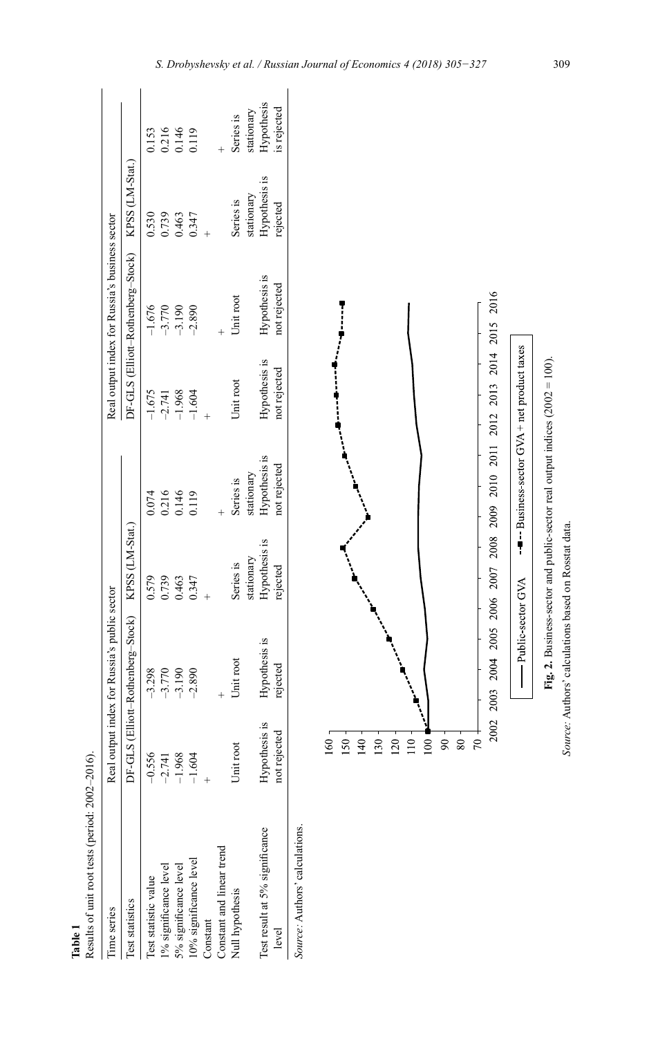| Results of unit root tests (period: 2002-2016). |               |                                                   |               |                         |               |                                                   |               |                         |
|-------------------------------------------------|---------------|---------------------------------------------------|---------------|-------------------------|---------------|---------------------------------------------------|---------------|-------------------------|
| ime series                                      |               | Real output index for Russia's public sector      |               |                         |               | Real output index for Russia's business sector    |               |                         |
| <b>Cest statistics</b>                          |               | DF-GLS (Elliott-Rothenberg-Stock) KPSS (LM-Stat.) |               |                         |               | DF-GLS (Elliott-Rothenberg-Stock) KPSS (LM-Stat.) |               |                         |
| Test statistic value                            | $-0.556$      | $-3.298$                                          | 0.579         | 0.074                   | $-1.675$      |                                                   | 0.530         | 1.153                   |
| 1% significance level                           | $-2.741$      | $-3.770$                                          | 0.739         |                         | $-2.741$      | $-1.676$<br>$-3.770$                              | 0.739         |                         |
| 5% significance level                           | $-1.968$      | $-3.190$                                          | 0.463         | 0.216<br>0.146<br>0.119 | $-1.968$      | $-3.190$                                          | 1.463         | 0.216<br>0.146<br>0.119 |
| 10% significance level                          | $-1.604$      | $-2.890$                                          | 0.347         |                         | $-1.604$      | $-2.890$                                          |               |                         |
| Constant                                        |               |                                                   |               |                         |               |                                                   |               |                         |
| Constant and linear trend                       |               |                                                   |               |                         |               |                                                   |               |                         |
| Null hypothesis                                 | Jnit root     | Jnit root                                         | Series is     | Series is               | Jnit root     | Jnit root                                         | Series is     | Series is               |
|                                                 |               |                                                   | stationary    | stationary              |               |                                                   | stationary    | stationary              |
| Test result at 5% significance                  | Hypothesis is | Hypothesis is                                     | Hypothesis is | Hypothesis is           | Hypothesis is | Hypothesis is                                     | Hypothesis is | Hypothesis              |
| level                                           | not rejected  | rejected                                          | rejected      | ot rejected             | tot rejected  | not rejected                                      | ejected       | s rejected              |
| Source: Authors' calculations.                  |               |                                                   |               |                         |               |                                                   |               |                         |

**Table 1**



*S. Drobyshevsky et al. / Russian Journal of Economics 4 (2018) 305−327* 309

*Source:* Authors' calculations based on Rosstat data.

Source: Authors' calculations based on Rosstat data.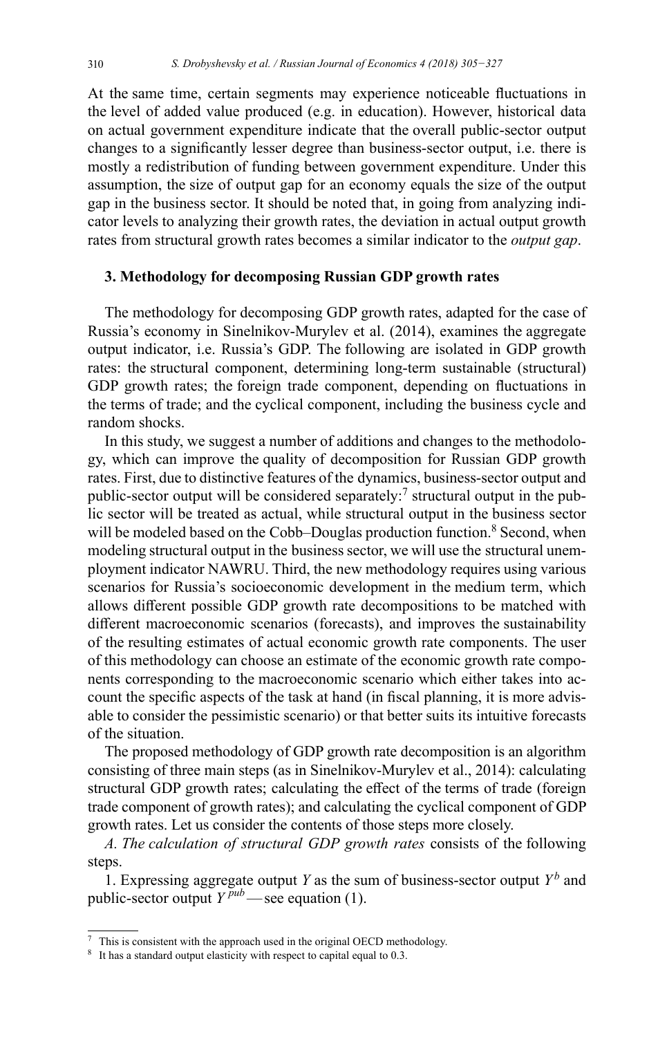At the same time, certain segments may experience noticeable fluctuations in the level of added value produced (e.g. in education). However, historical data on actual government expenditure indicate that the overall public-sector output changes to a significantly lesser degree than business-sector output, i.e. there is mostly a redistribution of funding between government expenditure. Under this assumption, the size of output gap for an economy equals the size of the output gap in the business sector. It should be noted that, in going from analyzing indicator levels to analyzing their growth rates, the deviation in actual output growth rates from structural growth rates becomes a similar indicator to the *output gap*.

### **3. Methodology for decomposing Russian GDP growth rates**

The methodology for decomposing GDP growth rates, adapted for the case of Russia's economy in Sinelnikov-Murylev et al. (2014), examines the aggregate output indicator, i.e. Russia's GDP. The following are isolated in GDP growth rates: the structural component, determining long-term sustainable (structural) GDP growth rates; the foreign trade component, depending on fluctuations in the terms of trade; and the cyclical component, including the business cycle and random shocks.

In this study, we suggest a number of additions and changes to the methodology, which can improve the quality of decomposition for Russian GDP growth rates. First, due to distinctive features of the dynamics, business-sector output and public-sector output will be considered separately:<sup>7</sup> structural output in the public sector will be treated as actual, while structural output in the business sector will be modeled based on the Cobb–Douglas production function.<sup>8</sup> Second, when modeling structural output in the business sector, we will use the structural unemployment indicator NAWRU. Third, the new methodology requires using various scenarios for Russia's socioeconomic development in the medium term, which allows different possible GDP growth rate decompositions to be matched with different macroeconomic scenarios (forecasts), and improves the sustainability of the resulting estimates of actual economic growth rate components. The user of this methodology can choose an estimate of the economic growth rate components corresponding to the macroeconomic scenario which either takes into account the specific aspects of the task at hand (in fiscal planning, it is more advisable to consider the pessimistic scenario) or that better suits its intuitive forecasts of the situation.

The proposed methodology of GDP growth rate decomposition is an algorithm consisting of three main steps (as in Sinelnikov-Murylev et al., 2014): calculating structural GDP growth rates; calculating the effect of the terms of trade (foreign trade component of growth rates); and calculating the cyclical component of GDP growth rates. Let us consider the contents of those steps more closely.

1. Expressing aggregate output *Y* as the sum of business-sector output  $Y^b$  and public-sector output  $Y^{pub}$ —see equation (1).

*A. The calculation of structural GDP growth rates* consists of the following steps.

This is consistent with the approach used in the original OECD methodology.

<sup>&</sup>lt;sup>8</sup> It has a standard output elasticity with respect to capital equal to 0.3.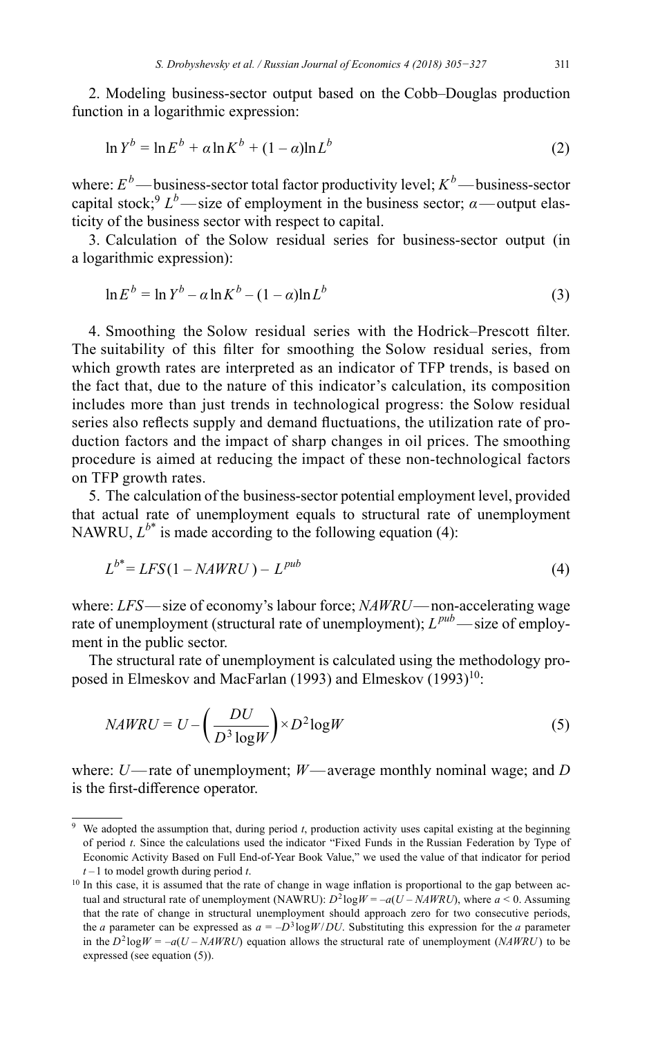2. Modeling business-sector output based on the Cobb–Douglas production function in a logarithmic expression:

$$
\ln Y^b = \ln E^b + \alpha \ln K^b + (1 - \alpha) \ln L^b \tag{2}
$$

where:  $E^b$ —business-sector total factor productivity level;  $K^b$ —business-sector capital stock;<sup>9</sup>  $L^b$ —size of employment in the business sector;  $\alpha$ —output elasticity of the business sector with respect to capital.

3. Calculation of the Solow residual series for business-sector output (in a logarithmic expression):

$$
\ln E^b = \ln Y^b - a \ln K^b - (1 - a) \ln L^b \tag{3}
$$

4. Smoothing the Solow residual series with the Hodrick–Prescott filter. The suitability of this filter for smoothing the Solow residual series, from which growth rates are interpreted as an indicator of TFP trends, is based on the fact that, due to the nature of this indicator's calculation, its composition includes more than just trends in technological progress: the Solow residual series also reflects supply and demand fluctuations, the utilization rate of production factors and the impact of sharp changes in oil prices. The smoothing procedure is aimed at reducing the impact of these non-technological factors on TFP growth rates.

5. The calculation of the business-sector potential employment level, provided that actual rate of unemployment equals to structural rate of unemployment NAWRU,  $L^{b^*}$  is made according to the following equation (4):

$$
L^{b^*} = LFS(1 - NAWRU) - L^{pub}
$$
\n<sup>(4)</sup>

where: *LFS*—size of economy's labour force; *NAWRU*—non-accelerating wage rate of unemployment (structural rate of unemployment); *Lpub*—size of employment in the public sector.

The structural rate of unemployment is calculated using the methodology proposed in Elmeskov and MacFarlan (1993) and Elmeskov  $(1993)^{10}$ :

$$
NAWRU = U - \left(\frac{DU}{D^3 \log W}\right) \times D^2 \log W \tag{5}
$$

where: *U*—rate of unemployment; *W*—average monthly nominal wage; and *D* is the first-difference operator.

<sup>&</sup>lt;sup>9</sup> We adopted the assumption that, during period *t*, production activity uses capital existing at the beginning of period *t*. Since the calculations used the indicator "Fixed Funds in the Russian Federation by Type of Economic Activity Based on Full End-of-Year Book Value," we used the value of that indicator for period *t –*1 to model growth during period *t*.

 $10$  In this case, it is assumed that the rate of change in wage inflation is proportional to the gap between actual and structural rate of unemployment (NAWRU):  $D^2 \log W = -a(U - NAWRU)$ , where  $a \le 0$ . Assuming that the rate of change in structural unemployment should approach zero for two consecutive periods, the *a* parameter can be expressed as  $a = -D^3 \log W / DU$ . Substituting this expression for the *a* parameter in the  $D^2 \log W = -a(U - NAWRU)$  equation allows the structural rate of unemployment (*NAWRU*) to be expressed (see equation (5)).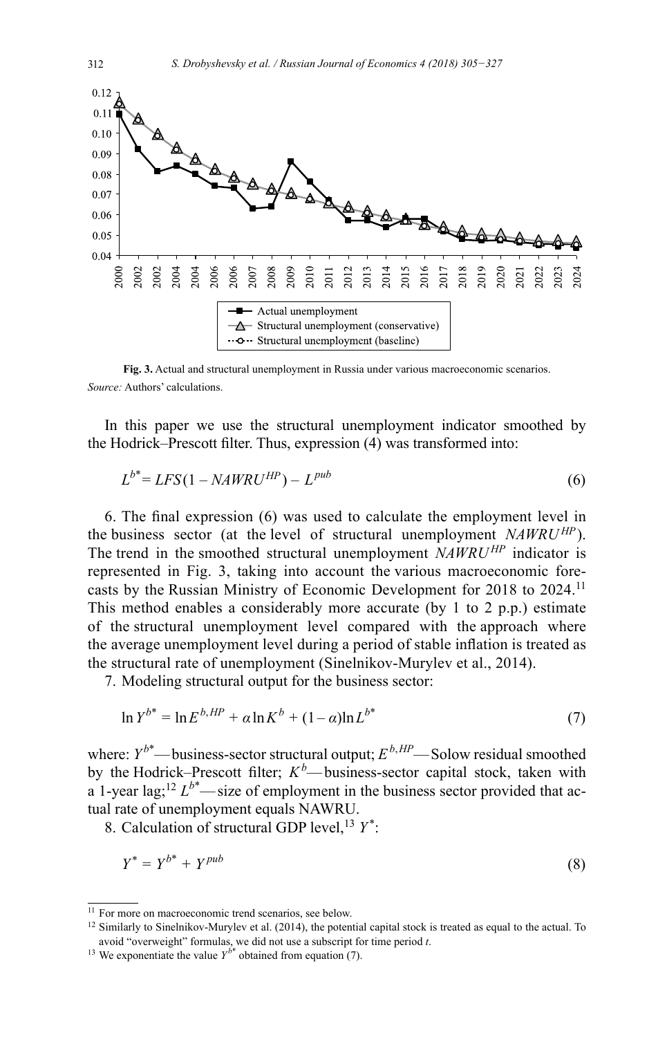

**Fig. 3.** Actual and structural unemployment in Russia under various macroeconomic scenarios. *Source:* Authors' calculations.

In this paper we use the structural unemployment indicator smoothed by the Hodrick–Prescott filter. Thus, expression (4) was transformed into:

$$
L^{b^*} = LFS(1 - NAWRU^{HP}) - L^{pub}
$$
\n
$$
(6)
$$

6. The final expression (6) was used to calculate the employment level in the business sector (at the level of structural unemployment *NAWRUHP*). The trend in the smoothed structural unemployment *NAWRUHP* indicator is represented in Fig. 3, taking into account the various macroeconomic forecasts by the Russian Ministry of Economic Development for 2018 to 2024.<sup>11</sup> This method enables a considerably more accurate (by 1 to 2 p.p.) estimate of the structural unemployment level compared with the approach where the average unemployment level during a period of stable inflation is treated as the structural rate of unemployment (Sinelnikov-Murylev et al., 2014).

7. Modeling structural output for the business sector:

$$
\ln Y^{b^*} = \ln E^{b,HP} + \alpha \ln K^b + (1 - \alpha) \ln L^{b^*}
$$
 (7)

where:  $Y^{b^*}$ —business-sector structural output;  $E^{b,HP}$ —Solow residual smoothed by the Hodrick–Prescott filter; *K<sup>b</sup>* —business-sector capital stock, taken with a 1-year lag;<sup>12</sup>  $L^{b^*}$ —size of employment in the business sector provided that actual rate of unemployment equals NAWRU.

8. Calculation of structural GDP level,<sup>13</sup> *Y*<sup>\*</sup>:

$$
Y^* = Y^{b^*} + Y^{pub} \tag{8}
$$

<sup>&</sup>lt;sup>11</sup> For more on macroeconomic trend scenarios, see below.

<sup>&</sup>lt;sup>12</sup> Similarly to Sinelnikov-Murylev et al. (2014), the potential capital stock is treated as equal to the actual. To avoid "overweight" formulas, we did not use a subscript for time period *t*.

<sup>&</sup>lt;sup>13</sup> We exponentiate the value  $Y^{b^*}$  obtained from equation (7).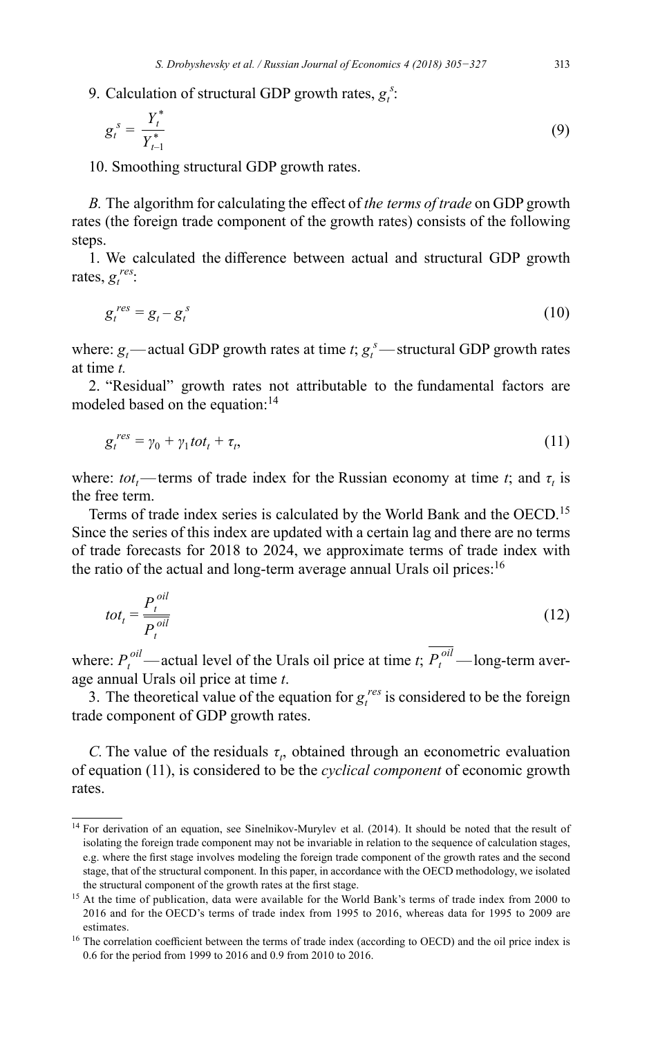9. Calculation of structural GDP growth rates,  $g_i^s$ :

$$
g_t^s = \frac{Y_t^*}{Y_{t-1}^*}
$$
 (9)

10. Smoothing structural GDP growth rates.

*B.* The algorithm for calculating the effect of *the terms of trade* on GDP growth rates (the foreign trade component of the growth rates) consists of the following steps.

1. We calculated the difference between actual and structural GDP growth rates,  $g_t^{\text{res}}$ :

$$
g_t^{\text{res}} = g_t - g_t^{\text{s}} \tag{10}
$$

where:  $g_t$ —actual GDP growth rates at time *t*;  $g_t^s$ —structural GDP growth rates at time *t.*

2. "Residual" growth rates not attributable to the fundamental factors are modeled based on the equation:<sup>14</sup>

$$
g_t^{res} = \gamma_0 + \gamma_1 tot_t + \tau_t, \tag{11}
$$

where:  $tot_t$ —terms of trade index for the Russian economy at time *t*; and  $\tau_t$  is the free term.

Terms of trade index series is calculated by the World Bank and the OECD.<sup>15</sup> Since the series of this index are updated with a certain lag and there are no terms of trade forecasts for 2018 to 2024, we approximate terms of trade index with the ratio of the actual and long-term average annual Urals oil prices:  $16$ 

$$
tot_t = \frac{P_t^{oil}}{P_t^{oil}}
$$
\n(12)

where:  $P_t^{\textit{oil}}$  — actual level of the Urals oil price at time *t*;  $P_t^{\textit{oil}}$  — long-term average annual Urals oil price at time *t*.

3. The theoretical value of the equation for  $g_t^{res}$  is considered to be the foreign trade component of GDP growth rates.

*C*. The value of the residuals  $\tau$ , obtained through an econometric evaluation of equation (11), is considered to be the *cyclical component* of economic growth rates.

<sup>&</sup>lt;sup>14</sup> For derivation of an equation, see Sinelnikov-Murylev et al. (2014). It should be noted that the result of isolating the foreign trade component may not be invariable in relation to the sequence of calculation stages, e.g. where the first stage involves modeling the foreign trade component of the growth rates and the second stage, that of the structural component. In this paper, in accordance with the OECD methodology, we isolated the structural component of the growth rates at the first stage.

<sup>&</sup>lt;sup>15</sup> At the time of publication, data were available for the World Bank's terms of trade index from 2000 to 2016 and for the OECD's terms of trade index from 1995 to 2016, whereas data for 1995 to 2009 are estimates.

<sup>&</sup>lt;sup>16</sup> The correlation coefficient between the terms of trade index (according to OECD) and the oil price index is 0.6 for the period from 1999 to 2016 and 0.9 from 2010 to 2016.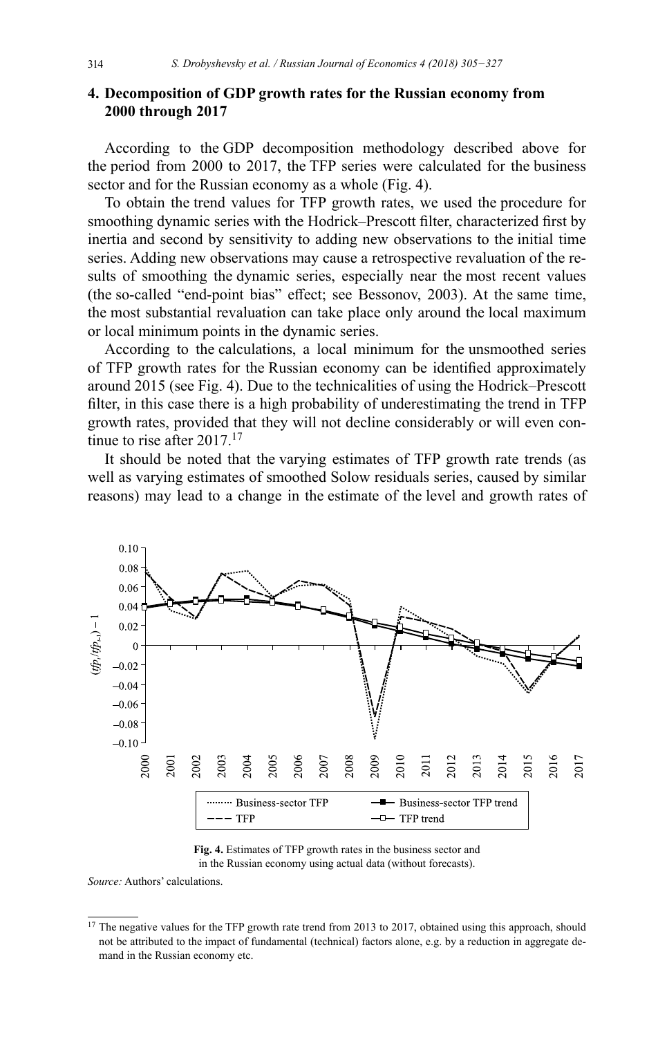# **4. Decomposition of GDP growth rates for the Russian economy from 2000 through 2017**

According to the GDP decomposition methodology described above for the period from 2000 to 2017, the TFP series were calculated for the business sector and for the Russian economy as a whole (Fig. 4).

To obtain the trend values for TFP growth rates, we used the procedure for smoothing dynamic series with the Hodrick–Prescott filter, characterized first by inertia and second by sensitivity to adding new observations to the initial time series. Adding new observations may cause a retrospective revaluation of the results of smoothing the dynamic series, especially near the most recent values (the so-called "end-point bias" effect; see Bessonov, 2003). At the same time, the most substantial revaluation can take place only around the local maximum or local minimum points in the dynamic series.

According to the calculations, a local minimum for the unsmoothed series of TFP growth rates for the Russian economy can be identified approximately around 2015 (see Fig. 4). Due to the technicalities of using the Hodrick–Prescott filter, in this case there is a high probability of underestimating the trend in TFP growth rates, provided that they will not decline considerably or will even continue to rise after  $2017$ <sup>17</sup>

It should be noted that the varying estimates of TFP growth rate trends (as well as varying estimates of smoothed Solow residuals series, caused by similar reasons) may lead to a change in the estimate of the level and growth rates of



**Fig. 4.** Estimates of TFP growth rates in the business sector and in the Russian economy using actual data (without forecasts).

*Source:* Authors' calculations.

<sup>&</sup>lt;sup>17</sup> The negative values for the TFP growth rate trend from 2013 to 2017, obtained using this approach, should not be attributed to the impact of fundamental (technical) factors alone, e.g. by a reduction in aggregate demand in the Russian economy etc.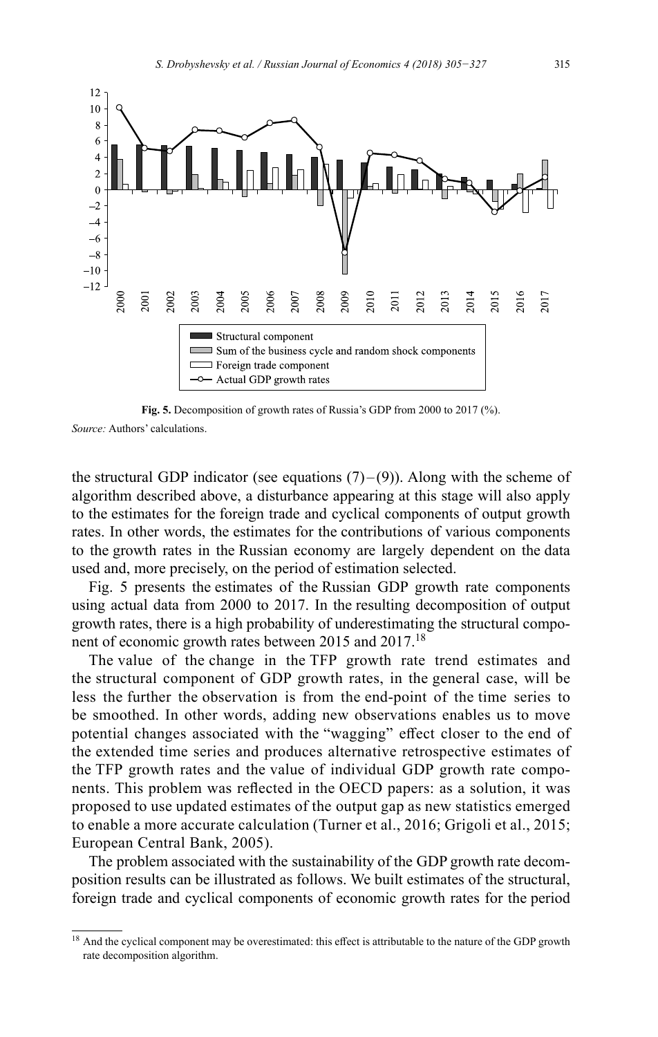

**Fig. 5.** Decomposition of growth rates of Russia's GDP from 2000 to 2017 (%). *Source:* Authors' calculations.

the structural GDP indicator (see equations  $(7)$ – $(9)$ ). Along with the scheme of algorithm described above, a disturbance appearing at this stage will also apply to the estimates for the foreign trade and cyclical components of output growth rates. In other words, the estimates for the contributions of various components to the growth rates in the Russian economy are largely dependent on the data used and, more precisely, on the period of estimation selected.

Fig. 5 presents the estimates of the Russian GDP growth rate components using actual data from 2000 to 2017. In the resulting decomposition of output growth rates, there is a high probability of underestimating the structural component of economic growth rates between 2015 and 2017.<sup>18</sup>

The value of the change in the TFP growth rate trend estimates and the structural component of GDP growth rates, in the general case, will be less the further the observation is from the end-point of the time series to be smoothed. In other words, adding new observations enables us to move potential changes associated with the "wagging" effect closer to the end of the extended time series and produces alternative retrospective estimates of the TFP growth rates and the value of individual GDP growth rate components. This problem was reflected in the OECD papers: as a solution, it was proposed to use updated estimates of the output gap as new statistics emerged to enable a more accurate calculation (Turner et al., 2016; Grigoli et al., 2015; European Central Bank, 2005).

The problem associated with the sustainability of the GDP growth rate decomposition results can be illustrated as follows. We built estimates of the structural, foreign trade and cyclical components of economic growth rates for the period

<sup>&</sup>lt;sup>18</sup> And the cyclical component may be overestimated: this effect is attributable to the nature of the GDP growth rate decomposition algorithm.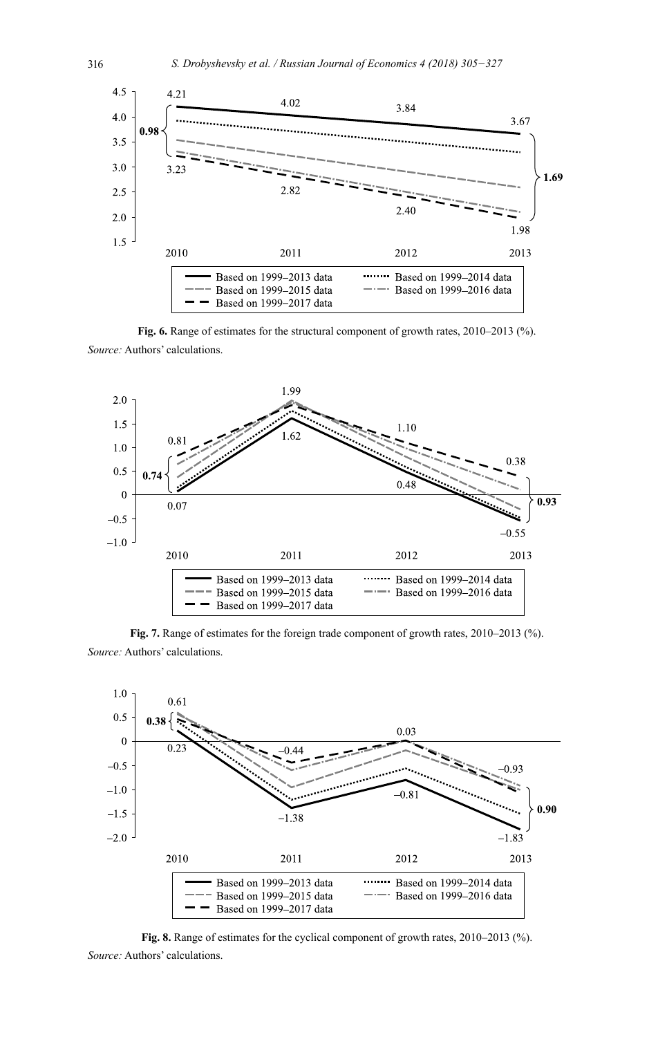

**Fig. 6.** Range of estimates for the structural component of growth rates, 2010–2013 (%). *Source:* Authors' calculations.



**Fig. 7.** Range of estimates for the foreign trade component of growth rates, 2010–2013 (%). *Source:* Authors' calculations.



**Fig. 8.** Range of estimates for the cyclical component of growth rates, 2010–2013 (%). *Source:* Authors' calculations.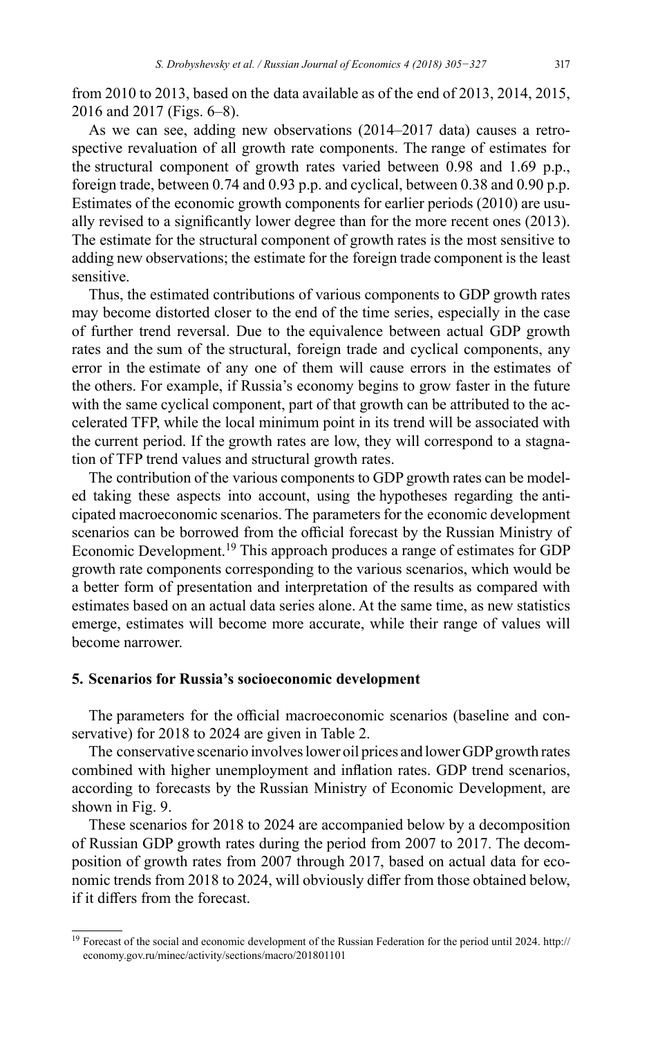from 2010 to 2013, based on the data available as of the end of 2013, 2014, 2015, 2016 and 2017 (Figs. 6–8).

As we can see, adding new observations (2014–2017 data) causes a retrospective revaluation of all growth rate components. The range of estimates for the structural component of growth rates varied between 0.98 and 1.69 p.p., foreign trade, between 0.74 and 0.93 p.p. and cyclical, between 0.38 and 0.90 p.p. Estimates of the economic growth components for earlier periods (2010) are usually revised to a significantly lower degree than for the more recent ones (2013). The estimate for the structural component of growth rates is the most sensitive to adding new observations; the estimate for the foreign trade component is the least sensitive.

Thus, the estimated contributions of various components to GDP growth rates may become distorted closer to the end of the time series, especially in the case of further trend reversal. Due to the equivalence between actual GDP growth rates and the sum of the structural, foreign trade and cyclical components, any error in the estimate of any one of them will cause errors in the estimates of the others. For example, if Russia's economy begins to grow faster in the future with the same cyclical component, part of that growth can be attributed to the accelerated TFP, while the local minimum point in its trend will be associated with the current period. If the growth rates are low, they will correspond to a stagnation of TFP trend values and structural growth rates.

The contribution of the various components to GDP growth rates can be modeled taking these aspects into account, using the hypotheses regarding the anticipated macroeconomic scenarios. The parameters for the economic development scenarios can be borrowed from the official forecast by the Russian Ministry of Economic Development.<sup>19</sup> This approach produces a range of estimates for GDP growth rate components corresponding to the various scenarios, which would be a better form of presentation and interpretation of the results as compared with estimates based on an actual data series alone. At the same time, as new statistics emerge, estimates will become more accurate, while their range of values will become narrower.

# **5. Scenarios for Russia's socioeconomic development**

The parameters for the official macroeconomic scenarios (baseline and conservative) for 2018 to 2024 are given in Table 2.

The conservative scenario involves lower oil prices and lower GDP growth rates combined with higher unemployment and inflation rates. GDP trend scenarios, according to forecasts by the Russian Ministry of Economic Development, are shown in Fig. 9.

These scenarios for 2018 to 2024 are accompanied below by a decomposition of Russian GDP growth rates during the period from 2007 to 2017. The decomposition of growth rates from 2007 through 2017, based on actual data for economic trends from 2018 to 2024, will obviously differ from those obtained below, if it differs from the forecast.

<sup>&</sup>lt;sup>19</sup> Forecast of the social and economic development of the Russian Federation for the period until 2024. [http://](http://economy.gov.ru/minec/activity/sections/macro/201801101) [economy.gov.ru/minec/activity/sections/macro/201801101](http://economy.gov.ru/minec/activity/sections/macro/201801101)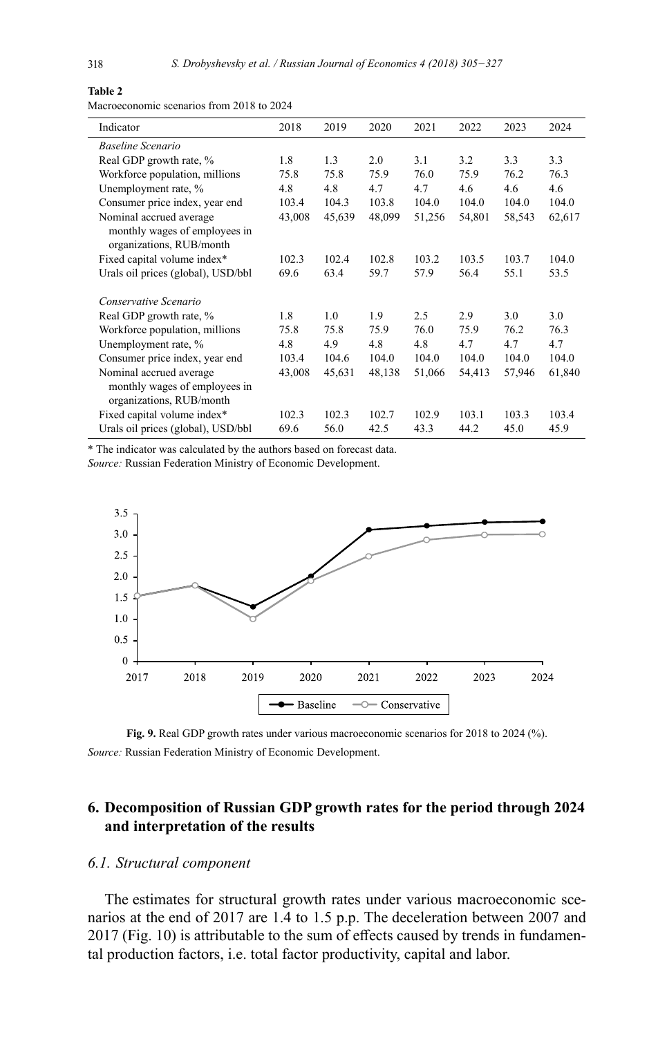#### **Table 2**

Macroeconomic scenarios from 2018 to 2024

| Indicator                          | 2018   | 2019   | 2020   | 2021   | 2022   | 2023   | 2024   |
|------------------------------------|--------|--------|--------|--------|--------|--------|--------|
| <b>Baseline Scenario</b>           |        |        |        |        |        |        |        |
| Real GDP growth rate, %            | 1.8    | 1.3    | 2.0    | 3.1    | 3.2    | 3.3    | 3.3    |
| Workforce population, millions     | 75.8   | 75.8   | 75.9   | 76.0   | 75.9   | 76.2   | 76.3   |
| Unemployment rate, %               | 4.8    | 4.8    | 4.7    | 4.7    | 4.6    | 4.6    | 4.6    |
| Consumer price index, year end     | 103.4  | 104.3  | 103.8  | 104.0  | 104.0  | 104.0  | 104.0  |
| Nominal accrued average            | 43,008 | 45,639 | 48,099 | 51,256 | 54,801 | 58,543 | 62,617 |
| monthly wages of employees in      |        |        |        |        |        |        |        |
| organizations, RUB/month           |        |        |        |        |        |        |        |
| Fixed capital volume index*        | 102.3  | 102.4  | 102.8  | 103.2  | 103.5  | 103.7  | 104.0  |
| Urals oil prices (global), USD/bbl | 69.6   | 63.4   | 59.7   | 57.9   | 56.4   | 55.1   | 53.5   |
| Conservative Scenario              |        |        |        |        |        |        |        |
| Real GDP growth rate, %            | 1.8    | 1.0    | 1.9    | 2.5    | 2.9    | 3.0    | 3.0    |
| Workforce population, millions     | 75.8   | 75.8   | 75.9   | 76.0   | 75.9   | 76.2   | 76.3   |
| Unemployment rate, %               | 4.8    | 4.9    | 4.8    | 4.8    | 4.7    | 4.7    | 4.7    |
| Consumer price index, year end     | 103.4  | 104.6  | 104.0  | 104.0  | 104.0  | 104.0  | 104.0  |
| Nominal accrued average            | 43,008 | 45,631 | 48,138 | 51,066 | 54,413 | 57,946 | 61,840 |
| monthly wages of employees in      |        |        |        |        |        |        |        |
| organizations, RUB/month           |        |        |        |        |        |        |        |
| Fixed capital volume index*        | 102.3  | 102.3  | 102.7  | 102.9  | 103.1  | 103.3  | 103.4  |
| Urals oil prices (global), USD/bbl | 69.6   | 56.0   | 42.5   | 43.3   | 44.2   | 45.0   | 45.9   |

\* The indicator was calculated by the authors based on forecast data. *Source:* Russian Federation Ministry of Economic Development.



**Fig. 9.** Real GDP growth rates under various macroeconomic scenarios for 2018 to 2024 (%). *Source:* Russian Federation Ministry of Economic Development.

# **6. Decomposition of Russian GDP growth rates for the period through 2024 and interpretation of the results**

# *6.1. Structural component*

The estimates for structural growth rates under various macroeconomic scenarios at the end of 2017 are 1.4 to 1.5 p.p. The deceleration between 2007 and 2017 (Fig. 10) is attributable to the sum of effects caused by trends in fundamental production factors, i.e. total factor productivity, capital and labor.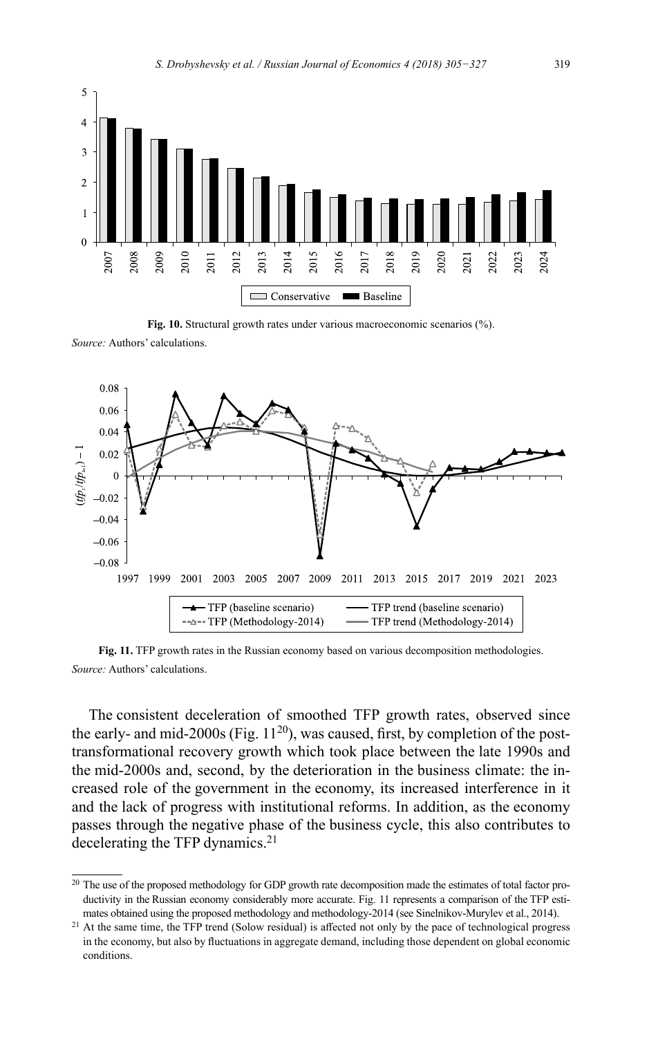

**Fig. 10.** Structural growth rates under various macroeconomic scenarios (%).

*Source:* Authors' calculations.



**Fig. 11.** TFP growth rates in the Russian economy based on various decomposition methodologies. *Source:* Authors' calculations.

The consistent deceleration of smoothed TFP growth rates, observed since the early- and mid-2000s (Fig.  $11^{20}$ ), was caused, first, by completion of the posttransformational recovery growth which took place between the late 1990s and the mid-2000s and, second, by the deterioration in the business climate: the increased role of the government in the economy, its increased interference in it and the lack of progress with institutional reforms. In addition, as the economy passes through the negative phase of the business cycle, this also contributes to decelerating the TFP dynamics.<sup>21</sup>

<sup>&</sup>lt;sup>20</sup> The use of the proposed methodology for GDP growth rate decomposition made the estimates of total factor productivity in the Russian economy considerably more accurate. Fig. 11 represents a comparison of the TFP estimates obtained using the proposed methodology and methodology-2014 (see Sinelnikov-Murylev et al., 2014).

<sup>&</sup>lt;sup>21</sup> At the same time, the TFP trend (Solow residual) is affected not only by the pace of technological progress in the economy, but also by fluctuations in aggregate demand, including those dependent on global economic conditions.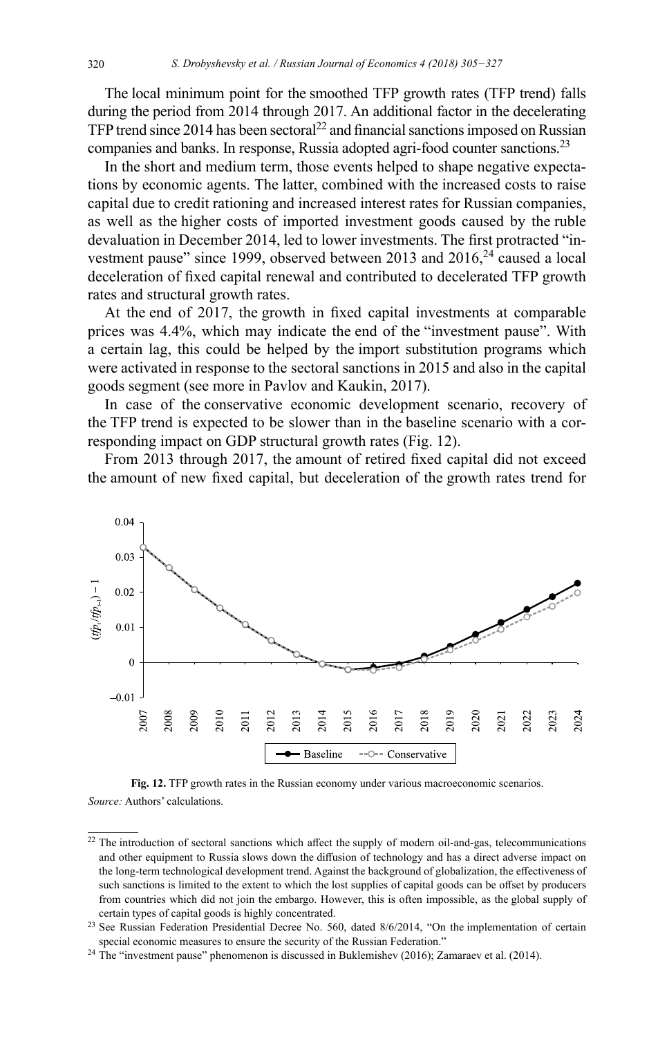The local minimum point for the smoothed TFP growth rates (TFP trend) falls during the period from 2014 through 2017. An additional factor in the decelerating TFP trend since 2014 has been sectoral<sup>22</sup> and financial sanctions imposed on Russian companies and banks. In response, Russia adopted agri-food counter sanctions.<sup>23</sup>

In the short and medium term, those events helped to shape negative expectations by economic agents. The latter, combined with the increased costs to raise capital due to credit rationing and increased interest rates for Russian companies, as well as the higher costs of imported investment goods caused by the ruble devaluation in December 2014, led to lower investments. The first protracted "investment pause" since 1999, observed between 2013 and  $2016<sup>24</sup>$  caused a local deceleration of fixed capital renewal and contributed to decelerated TFP growth rates and structural growth rates.

At the end of 2017, the growth in fixed capital investments at comparable prices was 4.4%, which may indicate the end of the "investment pause". With a certain lag, this could be helped by the import substitution programs which were activated in response to the sectoral sanctions in 2015 and also in the capital goods segment (see more in Pavlov and Kaukin, 2017).

In case of the conservative economic development scenario, recovery of the TFP trend is expected to be slower than in the baseline scenario with a corresponding impact on GDP structural growth rates (Fig. 12).

From 2013 through 2017, the amount of retired fixed capital did not exceed the amount of new fixed capital, but deceleration of the growth rates trend for



**Fig. 12.** TFP growth rates in the Russian economy under various macroeconomic scenarios. *Source:* Authors' calculations.

<sup>22</sup> The introduction of sectoral sanctions which affect the supply of modern oil-and-gas, telecommunications and other equipment to Russia slows down the diffusion of technology and has a direct adverse impact on the long-term technological development trend. Against the background of globalization, the effectiveness of such sanctions is limited to the extent to which the lost supplies of capital goods can be offset by producers from countries which did not join the embargo. However, this is often impossible, as the global supply of certain types of capital goods is highly concentrated.

<sup>&</sup>lt;sup>23</sup> See Russian Federation Presidential Decree No. 560, dated 8/6/2014, "On the implementation of certain special economic measures to ensure the security of the Russian Federation."

<sup>&</sup>lt;sup>24</sup> The "investment pause" phenomenon is discussed in Buklemishev (2016); Zamaraev et al. (2014).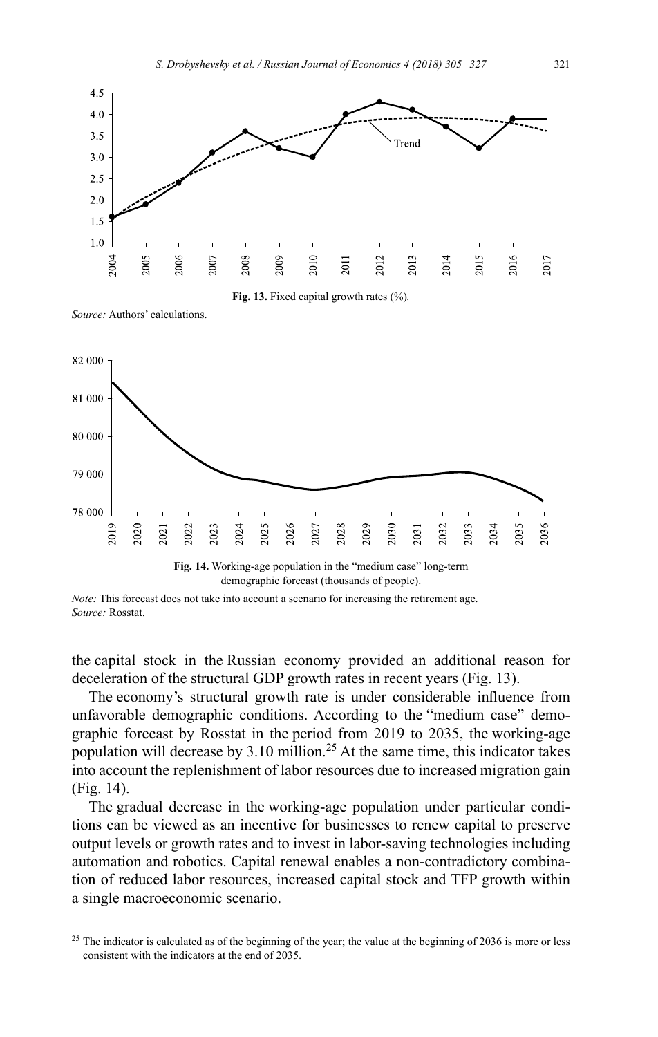

**Fig. 13.** Fixed capital growth rates (%)*.*

*Source:* Authors' calculations.



demographic forecast (thousands of people).

the capital stock in the Russian economy provided an additional reason for deceleration of the structural GDP growth rates in recent years (Fig. 13).

The economy's structural growth rate is under considerable influence from unfavorable demographic conditions. According to the "medium case" demographic forecast by Rosstat in the period from 2019 to 2035, the working-age population will decrease by 3.10 million.<sup>25</sup> At the same time, this indicator takes into account the replenishment of labor resources due to increased migration gain (Fig. 14).

The gradual decrease in the working-age population under particular conditions can be viewed as an incentive for businesses to renew capital to preserve output levels or growth rates and to invest in labor-saving technologies including automation and robotics. Capital renewal enables a non-contradictory combination of reduced labor resources, increased capital stock and TFP growth within a single macroeconomic scenario.

*Note:* This forecast does not take into account a scenario for increasing the retirement age. *Source:* Rosstat.

 $25$  The indicator is calculated as of the beginning of the year; the value at the beginning of 2036 is more or less consistent with the indicators at the end of 2035.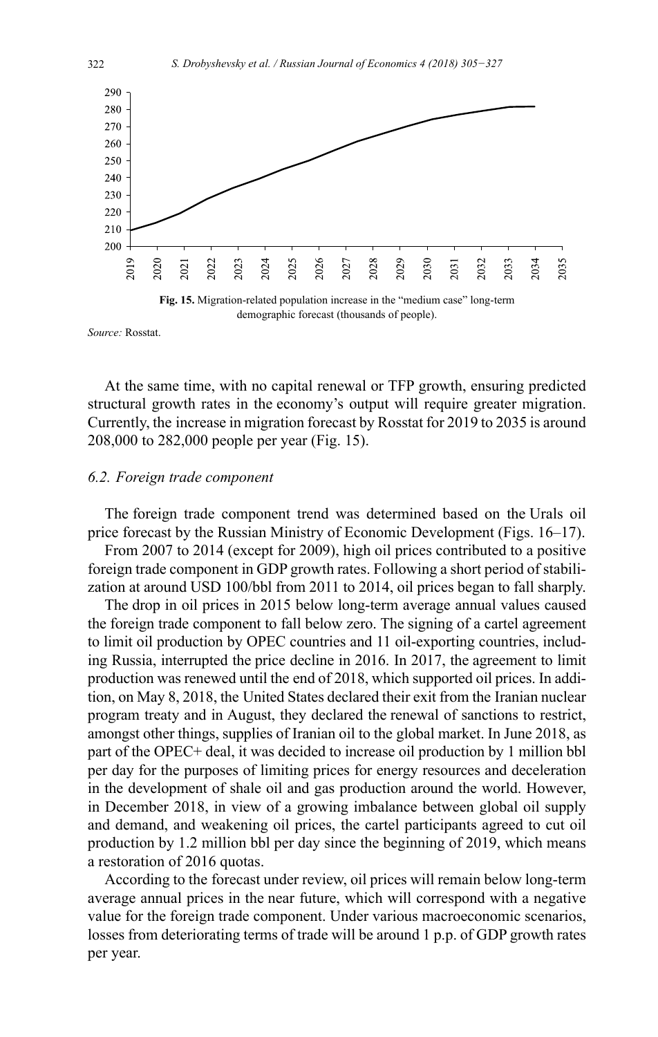

*Source:* Rosstat.

At the same time, with no capital renewal or TFP growth, ensuring predicted structural growth rates in the economy's output will require greater migration. Currently, the increase in migration forecast by Rosstat for 2019 to 2035 is around 208,000 to 282,000 people per year (Fig. 15).

### *6.2. Foreign trade component*

The foreign trade component trend was determined based on the Urals oil price forecast by the Russian Ministry of Economic Development (Figs. 16–17).

From 2007 to 2014 (except for 2009), high oil prices contributed to a positive foreign trade component in GDP growth rates. Following a short period of stabilization at around USD 100/bbl from 2011 to 2014, oil prices began to fall sharply.

The drop in oil prices in 2015 below long-term average annual values caused the foreign trade component to fall below zero. The signing of a cartel agreement to limit oil production by OPEC countries and 11 oil-exporting countries, including Russia, interrupted the price decline in 2016. In 2017, the agreement to limit production was renewed until the end of 2018, which supported oil prices. In addition, on May 8, 2018, the United States declared their exit from the Iranian nuclear program treaty and in August, they declared the renewal of sanctions to restrict, amongst other things, supplies of Iranian oil to the global market. In June 2018, as part of the OPEC+ deal, it was decided to increase oil production by 1 million bbl per day for the purposes of limiting prices for energy resources and deceleration in the development of shale oil and gas production around the world. However, in December 2018, in view of a growing imbalance between global oil supply and demand, and weakening oil prices, the cartel participants agreed to cut oil production by 1.2 million bbl per day since the beginning of 2019, which means a restoration of 2016 quotas.

According to the forecast under review, oil prices will remain below long-term average annual prices in the near future, which will correspond with a negative value for the foreign trade component. Under various macroeconomic scenarios, losses from deteriorating terms of trade will be around 1 p.p. of GDP growth rates per year.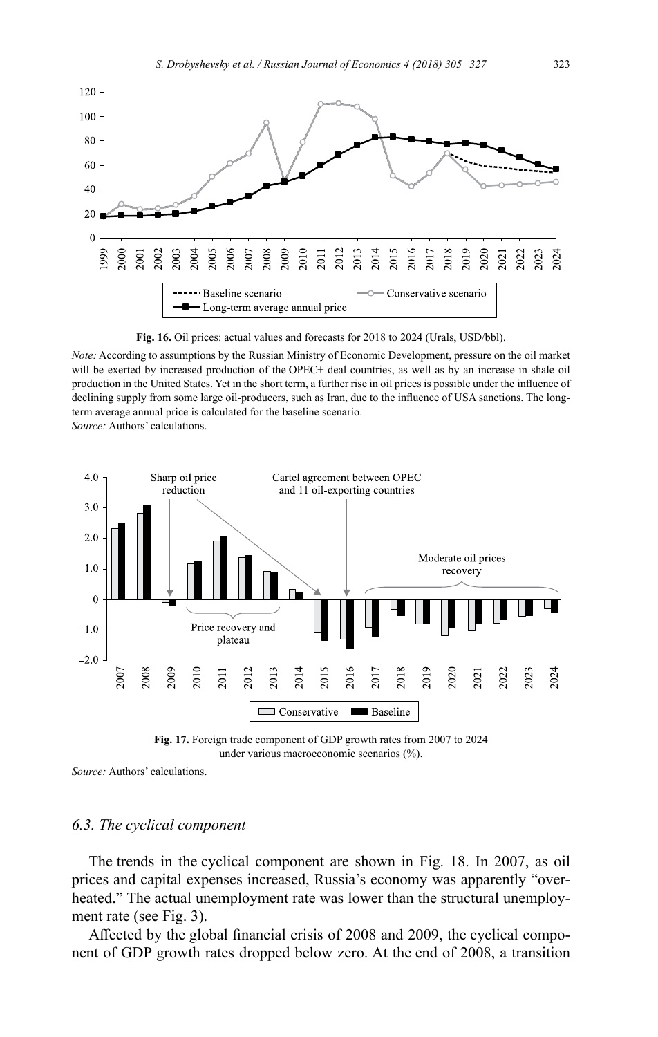

**Fig. 16.** Oil prices: actual values and forecasts for 2018 to 2024 (Urals, USD/bbl).

*Note:* According to assumptions by the Russian Ministry of Economic Development, pressure on the oil market will be exerted by increased production of the OPEC+ deal countries, as well as by an increase in shale oil production in the United States. Yet in the short term, a further rise in oil prices is possible under the influence of declining supply from some large oil-producers, such as Iran, due to the influence of USA sanctions. The longterm average annual price is calculated for the baseline scenario. *Source:* Authors' calculations.



**Fig. 17.** Foreign trade component of GDP growth rates from 2007 to 2024 under various macroeconomic scenarios (%).

*Source:* Authors' calculations.

### *6.3. The cyclical component*

The trends in the cyclical component are shown in Fig. 18. In 2007, as oil prices and capital expenses increased, Russia's economy was apparently "overheated." The actual unemployment rate was lower than the structural unemployment rate (see Fig. 3).

Affected by the global financial crisis of 2008 and 2009, the cyclical component of GDP growth rates dropped below zero. At the end of 2008, a transition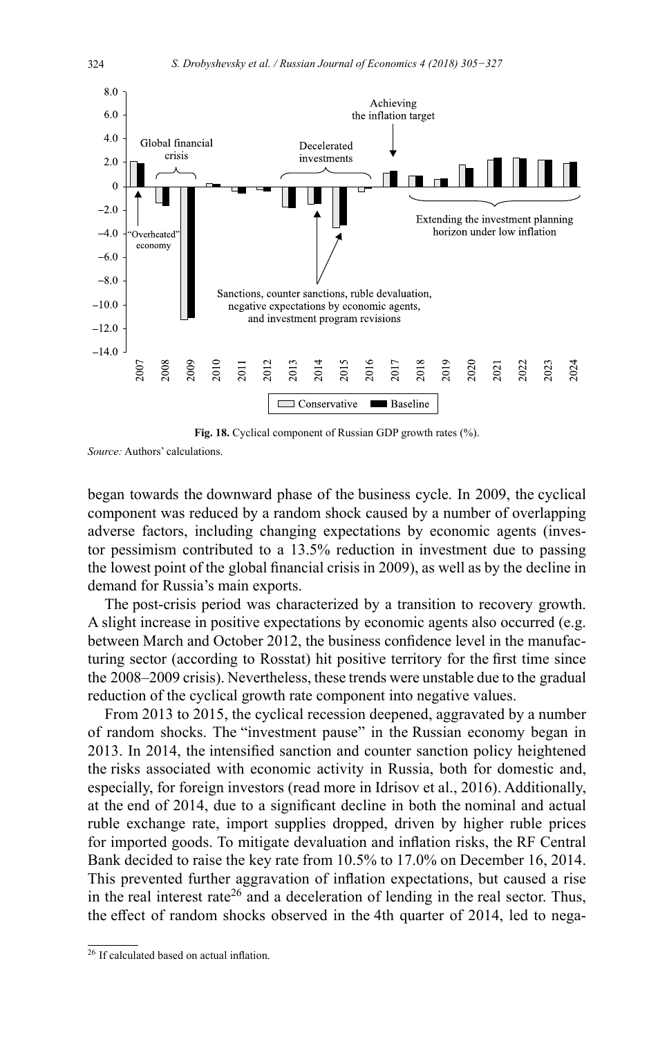

**Fig. 18.** Cyclical component of Russian GDP growth rates (%).

*Source:* Authors' calculations.

began towards the downward phase of the business cycle. In 2009, the cyclical component was reduced by a random shock caused by a number of overlapping adverse factors, including changing expectations by economic agents (investor pessimism contributed to a 13.5% reduction in investment due to passing the lowest point of the global financial crisis in 2009), as well as by the decline in demand for Russia's main exports.

The post-crisis period was characterized by a transition to recovery growth. A slight increase in positive expectations by economic agents also occurred (e.g. between March and October 2012, the business confidence level in the manufacturing sector (according to Rosstat) hit positive territory for the first time since the 2008–2009 crisis). Nevertheless, these trends were unstable due to the gradual reduction of the cyclical growth rate component into negative values.

From 2013 to 2015, the cyclical recession deepened, aggravated by a number of random shocks. The "investment pause" in the Russian economy began in 2013. In 2014, the intensified sanction and counter sanction policy heightened the risks associated with economic activity in Russia, both for domestic and, especially, for foreign investors (read more in Idrisov et al., 2016). Additionally, at the end of 2014, due to a significant decline in both the nominal and actual ruble exchange rate, import supplies dropped, driven by higher ruble prices for imported goods. To mitigate devaluation and inflation risks, the RF Central Bank decided to raise the key rate from 10.5% to 17.0% on December 16, 2014. This prevented further aggravation of inflation expectations, but caused a rise in the real interest rate<sup>26</sup> and a deceleration of lending in the real sector. Thus, the effect of random shocks observed in the 4th quarter of 2014, led to nega-

<sup>&</sup>lt;sup>26</sup> If calculated based on actual inflation.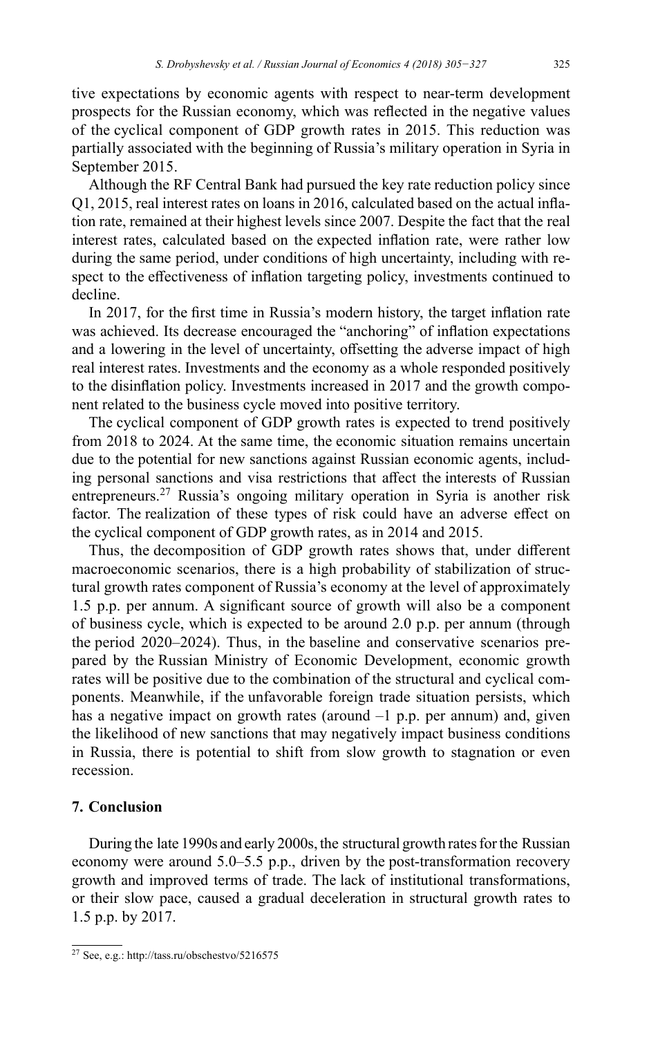tive expectations by economic agents with respect to near-term development prospects for the Russian economy, which was reflected in the negative values of the cyclical component of GDP growth rates in 2015. This reduction was partially associated with the beginning of Russia's military operation in Syria in September 2015.

Although the RF Central Bank had pursued the key rate reduction policy since Q1, 2015, real interest rates on loans in 2016, calculated based on the actual inflation rate, remained at their highest levels since 2007. Despite the fact that the real interest rates, calculated based on the expected inflation rate, were rather low during the same period, under conditions of high uncertainty, including with respect to the effectiveness of inflation targeting policy, investments continued to decline.

In 2017, for the first time in Russia's modern history, the target inflation rate was achieved. Its decrease encouraged the "anchoring" of inflation expectations and a lowering in the level of uncertainty, offsetting the adverse impact of high real interest rates. Investments and the economy as a whole responded positively to the disinflation policy. Investments increased in 2017 and the growth component related to the business cycle moved into positive territory.

The cyclical component of GDP growth rates is expected to trend positively from 2018 to 2024. At the same time, the economic situation remains uncertain due to the potential for new sanctions against Russian economic agents, including personal sanctions and visa restrictions that affect the interests of Russian entrepreneurs.<sup>27</sup> Russia's ongoing military operation in Syria is another risk factor. The realization of these types of risk could have an adverse effect on the cyclical component of GDP growth rates, as in 2014 and 2015.

Thus, the decomposition of GDP growth rates shows that, under different macroeconomic scenarios, there is a high probability of stabilization of structural growth rates component of Russia's economy at the level of approximately 1.5 p.p. per annum. A significant source of growth will also be a component of business cycle, which is expected to be around 2.0 p.p. per annum (through the period 2020–2024). Thus, in the baseline and conservative scenarios prepared by the Russian Ministry of Economic Development, economic growth rates will be positive due to the combination of the structural and cyclical components. Meanwhile, if the unfavorable foreign trade situation persists, which has a negative impact on growth rates (around –1 p.p. per annum) and, given the likelihood of new sanctions that may negatively impact business conditions in Russia, there is potential to shift from slow growth to stagnation or even recession.

# **7. Conclusion**

During the late 1990s and early 2000s, the structural growth rates for the Russian economy were around 5.0–5.5 p.p., driven by the post-transformation recovery growth and improved terms of trade. The lack of institutional transformations, or their slow pace, caused a gradual deceleration in structural growth rates to 1.5 p.p. by 2017.

<sup>27</sup> See, e.g.:<http://tass.ru/obschestvo/5216575>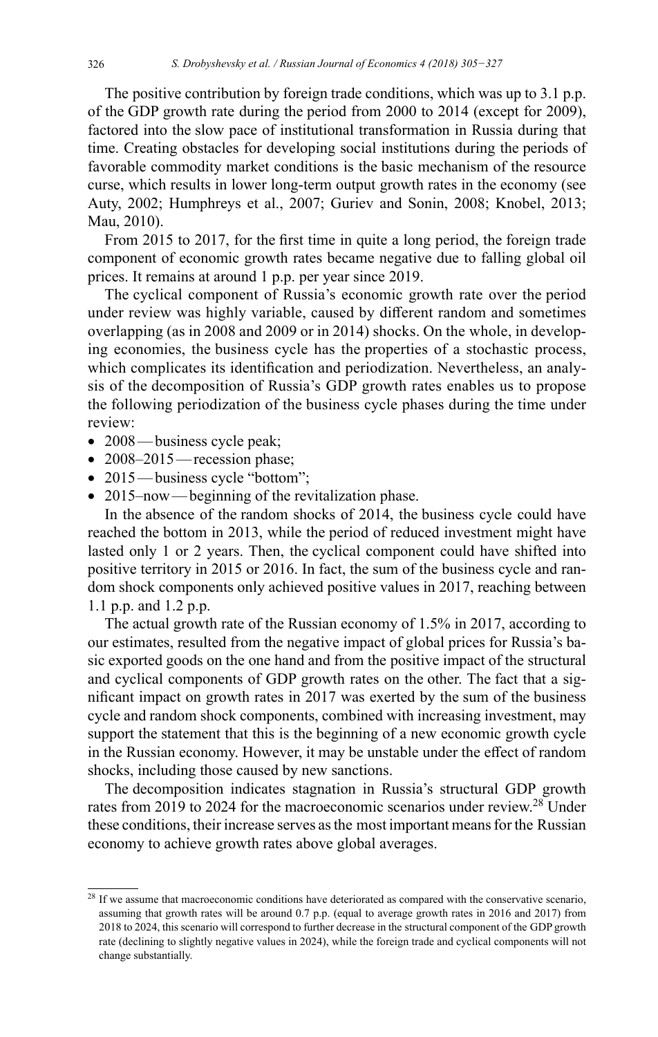The positive contribution by foreign trade conditions, which was up to 3.1 p.p. of the GDP growth rate during the period from 2000 to 2014 (except for 2009), factored into the slow pace of institutional transformation in Russia during that time. Creating obstacles for developing social institutions during the periods of favorable commodity market conditions is the basic mechanism of the resource curse, which results in lower long-term output growth rates in the economy (see Auty, 2002; Humphreys et al., 2007; Guriev and Sonin, 2008; Knobel, 2013; Mau, 2010).

From 2015 to 2017, for the first time in quite a long period, the foreign trade component of economic growth rates became negative due to falling global oil prices. It remains at around 1 p.p. per year since 2019.

The cyclical component of Russia's economic growth rate over the period under review was highly variable, caused by different random and sometimes overlapping (as in 2008 and 2009 or in 2014) shocks. On the whole, in developing economies, the business cycle has the properties of a stochastic process, which complicates its identification and periodization. Nevertheless, an analysis of the decomposition of Russia's GDP growth rates enables us to propose the following periodization of the business cycle phases during the time under review:

- 2008—business cycle peak;
- 2008–2015 recession phase;
- 2015—business cycle "bottom";
- 2015–now—beginning of the revitalization phase.

In the absence of the random shocks of 2014, the business cycle could have reached the bottom in 2013, while the period of reduced investment might have lasted only 1 or 2 years. Then, the cyclical component could have shifted into positive territory in 2015 or 2016. In fact, the sum of the business cycle and random shock components only achieved positive values in 2017, reaching between 1.1 p.p. and 1.2 p.p.

The actual growth rate of the Russian economy of 1.5% in 2017, according to our estimates, resulted from the negative impact of global prices for Russia's basic exported goods on the one hand and from the positive impact of the structural and cyclical components of GDP growth rates on the other. The fact that a significant impact on growth rates in 2017 was exerted by the sum of the business cycle and random shock components, combined with increasing investment, may support the statement that this is the beginning of a new economic growth cycle in the Russian economy. However, it may be unstable under the effect of random shocks, including those caused by new sanctions.

The decomposition indicates stagnation in Russia's structural GDP growth rates from 2019 to 2024 for the macroeconomic scenarios under review.<sup>28</sup> Under these conditions, their increase serves as the most important means for the Russian economy to achieve growth rates above global averages.

<sup>&</sup>lt;sup>28</sup> If we assume that macroeconomic conditions have deteriorated as compared with the conservative scenario, assuming that growth rates will be around 0.7 p.p. (equal to average growth rates in 2016 and 2017) from 2018 to 2024, this scenario will correspond to further decrease in the structural component of the GDP growth rate (declining to slightly negative values in 2024), while the foreign trade and cyclical components will not change substantially.